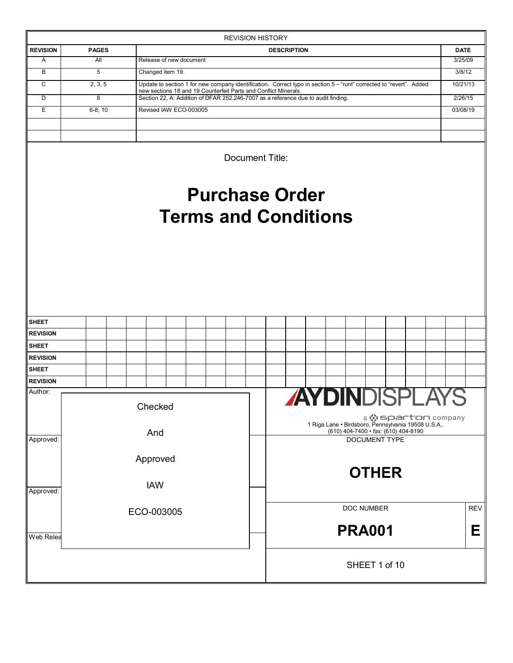|                            |              |                                                                                                                                                      |                             |  | <b>REVISION HISTORY</b>                  |                    |  |                                                   |                      |  |                       |             |
|----------------------------|--------------|------------------------------------------------------------------------------------------------------------------------------------------------------|-----------------------------|--|------------------------------------------|--------------------|--|---------------------------------------------------|----------------------|--|-----------------------|-------------|
| <b>REVISION</b>            | <b>PAGES</b> |                                                                                                                                                      |                             |  |                                          | <b>DESCRIPTION</b> |  |                                                   |                      |  |                       | <b>DATE</b> |
| Α                          | All          | Release of new document                                                                                                                              |                             |  |                                          |                    |  |                                                   |                      |  |                       | 3/25/09     |
| B                          | 5            | Changed item 19.                                                                                                                                     |                             |  |                                          |                    |  |                                                   |                      |  |                       | 3/8/12      |
| C                          | 2, 3, 5      | Update to section 1 for new company identification. Correct typo in section 5 - "runt" corrected to "revert". Added                                  |                             |  |                                          |                    |  |                                                   |                      |  |                       | 10/21/13    |
| D                          | 8            | new sections 18 and 19 Counterfeit Parts and Conflict Minerals.<br>Section 22, A: Addition of DFAR 252.246-7007 as a reference due to audit finding. |                             |  |                                          |                    |  |                                                   |                      |  |                       | 2/26/15     |
| E                          | $6-8, 10$    | Revised IAW ECO-003005                                                                                                                               |                             |  |                                          |                    |  |                                                   |                      |  |                       | 03/08/19    |
|                            |              |                                                                                                                                                      |                             |  |                                          |                    |  |                                                   |                      |  |                       |             |
|                            |              |                                                                                                                                                      |                             |  |                                          |                    |  |                                                   |                      |  |                       |             |
|                            |              |                                                                                                                                                      |                             |  | Document Title:<br><b>Purchase Order</b> |                    |  |                                                   |                      |  |                       |             |
|                            |              |                                                                                                                                                      | <b>Terms and Conditions</b> |  |                                          |                    |  |                                                   |                      |  |                       |             |
|                            |              |                                                                                                                                                      |                             |  |                                          |                    |  |                                                   |                      |  |                       |             |
|                            |              |                                                                                                                                                      |                             |  |                                          |                    |  |                                                   |                      |  |                       |             |
|                            |              |                                                                                                                                                      |                             |  |                                          |                    |  |                                                   |                      |  |                       |             |
|                            |              |                                                                                                                                                      |                             |  |                                          |                    |  |                                                   |                      |  |                       |             |
|                            |              |                                                                                                                                                      |                             |  |                                          |                    |  |                                                   |                      |  |                       |             |
|                            |              |                                                                                                                                                      |                             |  |                                          |                    |  |                                                   |                      |  |                       |             |
| SHEET                      |              |                                                                                                                                                      |                             |  |                                          |                    |  |                                                   |                      |  |                       |             |
| <b>REVISION</b>            |              |                                                                                                                                                      |                             |  |                                          |                    |  |                                                   |                      |  |                       |             |
| <b>SHEET</b>               |              |                                                                                                                                                      |                             |  |                                          |                    |  |                                                   |                      |  |                       |             |
| <b>REVISION</b>            |              |                                                                                                                                                      |                             |  |                                          |                    |  |                                                   |                      |  |                       |             |
| <b>SHEET</b>               |              |                                                                                                                                                      |                             |  |                                          |                    |  |                                                   |                      |  |                       |             |
| <b>REVISION</b><br>Author: |              |                                                                                                                                                      |                             |  |                                          |                    |  |                                                   |                      |  |                       |             |
|                            |              |                                                                                                                                                      |                             |  |                                          |                    |  |                                                   |                      |  |                       |             |
|                            |              | Checked                                                                                                                                              |                             |  |                                          |                    |  |                                                   |                      |  |                       |             |
|                            |              |                                                                                                                                                      |                             |  |                                          |                    |  | 1 Riga Lane • Birdsboro, Pennsylvania 19508 U.S.A |                      |  | a (;) sparton company |             |
| Approved:                  |              | And                                                                                                                                                  |                             |  |                                          |                    |  | (610) 404-7400 · fax: (610) 404-8190              | <b>DOCUMENT TYPE</b> |  |                       |             |
|                            |              |                                                                                                                                                      |                             |  |                                          |                    |  |                                                   |                      |  |                       |             |
|                            |              | Approved                                                                                                                                             |                             |  |                                          |                    |  |                                                   |                      |  |                       |             |
|                            |              |                                                                                                                                                      |                             |  |                                          |                    |  |                                                   | <b>OTHER</b>         |  |                       |             |
| Approved:                  |              | <b>IAW</b>                                                                                                                                           |                             |  |                                          |                    |  |                                                   |                      |  |                       |             |
|                            |              |                                                                                                                                                      |                             |  |                                          |                    |  |                                                   |                      |  |                       |             |
|                            |              | ECO-003005                                                                                                                                           |                             |  |                                          |                    |  | DOC NUMBER                                        |                      |  |                       | <b>REV</b>  |
|                            |              |                                                                                                                                                      |                             |  |                                          |                    |  | <b>PRA001</b>                                     |                      |  |                       | Е           |
|                            |              |                                                                                                                                                      |                             |  |                                          |                    |  |                                                   |                      |  |                       |             |
|                            |              |                                                                                                                                                      |                             |  |                                          |                    |  |                                                   |                      |  |                       |             |
| Web Relea                  |              |                                                                                                                                                      |                             |  |                                          |                    |  |                                                   |                      |  |                       |             |
|                            |              |                                                                                                                                                      |                             |  |                                          |                    |  |                                                   | SHEET 1 of 10        |  |                       |             |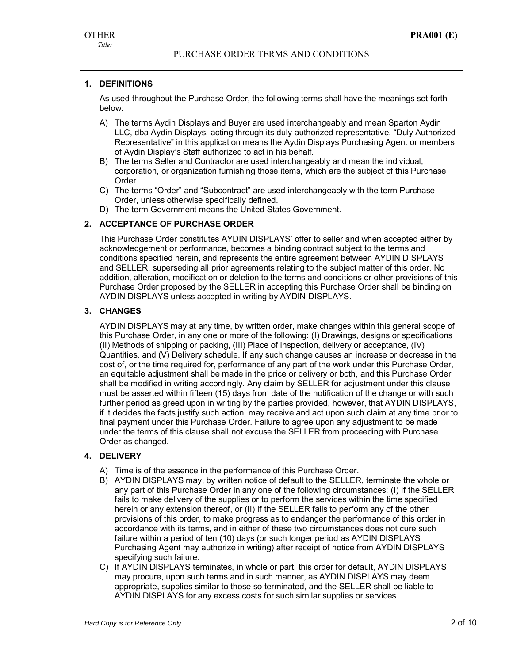## PURCHASE ORDER TERMS AND CONDITIONS

## **1. DEFINITIONS**

As used throughout the Purchase Order, the following terms shall have the meanings set forth below:

- A) The terms Aydin Displays and Buyer are used interchangeably and mean Sparton Aydin LLC, dba Aydin Displays, acting through its duly authorized representative. "Duly Authorized Representative" in this application means the Aydin Displays Purchasing Agent or members of Aydin Display's Staff authorized to act in his behalf.
- B) The terms Seller and Contractor are used interchangeably and mean the individual, corporation, or organization furnishing those items, which are the subject of this Purchase Order.
- C) The terms "Order" and "Subcontract" are used interchangeably with the term Purchase Order, unless otherwise specifically defined.
- D) The term Government means the United States Government.

## **2. ACCEPTANCE OF PURCHASE ORDER**

This Purchase Order constitutes AYDIN DISPLAYS' offer to seller and when accepted either by acknowledgement or performance, becomes a binding contract subject to the terms and conditions specified herein, and represents the entire agreement between AYDIN DISPLAYS and SELLER, superseding all prior agreements relating to the subject matter of this order. No addition, alteration, modification or deletion to the terms and conditions or other provisions of this Purchase Order proposed by the SELLER in accepting this Purchase Order shall be binding on AYDIN DISPLAYS unless accepted in writing by AYDIN DISPLAYS.

#### **3. CHANGES**

AYDIN DISPLAYS may at any time, by written order, make changes within this general scope of this Purchase Order, in any one or more of the following: (I) Drawings, designs or specifications (II) Methods of shipping or packing, (III) Place of inspection, delivery or acceptance, (IV) Quantities, and (V) Delivery schedule. If any such change causes an increase or decrease in the cost of, or the time required for, performance of any part of the work under this Purchase Order, an equitable adjustment shall be made in the price or delivery or both, and this Purchase Order shall be modified in writing accordingly. Any claim by SELLER for adjustment under this clause must be asserted within fifteen (15) days from date of the notification of the change or with such further period as greed upon in writing by the parties provided, however, that AYDIN DISPLAYS, if it decides the facts justify such action, may receive and act upon such claim at any time prior to final payment under this Purchase Order. Failure to agree upon any adjustment to be made under the terms of this clause shall not excuse the SELLER from proceeding with Purchase Order as changed.

## **4. DELIVERY**

- A) Time is of the essence in the performance of this Purchase Order.
- B) AYDIN DISPLAYS may, by written notice of default to the SELLER, terminate the whole or any part of this Purchase Order in any one of the following circumstances: (I) If the SELLER fails to make delivery of the supplies or to perform the services within the time specified herein or any extension thereof, or (II) If the SELLER fails to perform any of the other provisions of this order, to make progress as to endanger the performance of this order in accordance with its terms, and in either of these two circumstances does not cure such failure within a period of ten (10) days (or such longer period as AYDIN DISPLAYS Purchasing Agent may authorize in writing) after receipt of notice from AYDIN DISPLAYS specifying such failure.
- C) If AYDIN DISPLAYS terminates, in whole or part, this order for default, AYDIN DISPLAYS may procure, upon such terms and in such manner, as AYDIN DISPLAYS may deem appropriate, supplies similar to those so terminated, and the SELLER shall be liable to AYDIN DISPLAYS for any excess costs for such similar supplies or services.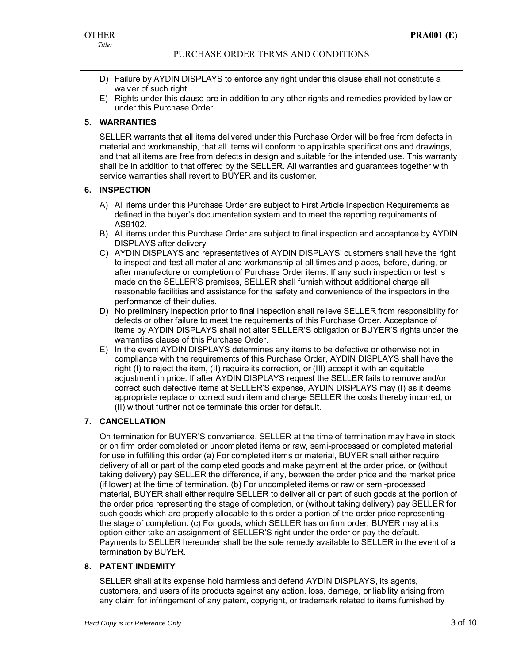PURCHASE ORDER TERMS AND CONDITIONS

- D) Failure by AYDIN DISPLAYS to enforce any right under this clause shall not constitute a waiver of such right.
- E) Rights under this clause are in addition to any other rights and remedies provided by law or under this Purchase Order.

## **5. WARRANTIES**

SELLER warrants that all items delivered under this Purchase Order will be free from defects in material and workmanship, that all items will conform to applicable specifications and drawings, and that all items are free from defects in design and suitable for the intended use. This warranty shall be in addition to that offered by the SELLER. All warranties and guarantees together with service warranties shall revert to BUYER and its customer.

## **6. INSPECTION**

- A) All items under this Purchase Order are subject to First Article Inspection Requirements as defined in the buyer's documentation system and to meet the reporting requirements of AS9102.
- B) All items under this Purchase Order are subject to final inspection and acceptance by AYDIN DISPLAYS after delivery.
- C) AYDIN DISPLAYS and representatives of AYDIN DISPLAYS' customers shall have the right to inspect and test all material and workmanship at all times and places, before, during, or after manufacture or completion of Purchase Order items. If any such inspection or test is made on the SELLER'S premises, SELLER shall furnish without additional charge all reasonable facilities and assistance for the safety and convenience of the inspectors in the performance of their duties.
- D) No preliminary inspection prior to final inspection shall relieve SELLER from responsibility for defects or other failure to meet the requirements of this Purchase Order. Acceptance of items by AYDIN DISPLAYS shall not alter SELLER'S obligation or BUYER'S rights under the warranties clause of this Purchase Order.
- E) In the event AYDIN DISPLAYS determines any items to be defective or otherwise not in compliance with the requirements of this Purchase Order, AYDIN DISPLAYS shall have the right (I) to reject the item, (II) require its correction, or (III) accept it with an equitable adjustment in price. If after AYDIN DISPLAYS request the SELLER fails to remove and/or correct such defective items at SELLER'S expense, AYDIN DISPLAYS may (I) as it deems appropriate replace or correct such item and charge SELLER the costs thereby incurred, or (II) without further notice terminate this order for default.

## **7. CANCELLATION**

On termination for BUYER'S convenience, SELLER at the time of termination may have in stock or on firm order completed or uncompleted items or raw, semi-processed or completed material for use in fulfilling this order (a) For completed items or material, BUYER shall either require delivery of all or part of the completed goods and make payment at the order price, or (without taking delivery) pay SELLER the difference, if any, between the order price and the market price (if lower) at the time of termination. (b) For uncompleted items or raw or semi-processed material, BUYER shall either require SELLER to deliver all or part of such goods at the portion of the order price representing the stage of completion, or (without taking delivery) pay SELLER for such goods which are properly allocable to this order a portion of the order price representing the stage of completion. (c) For goods, which SELLER has on firm order, BUYER may at its option either take an assignment of SELLER'S right under the order or pay the default. Payments to SELLER hereunder shall be the sole remedy available to SELLER in the event of a termination by BUYER.

## **8. PATENT INDEMITY**

SELLER shall at its expense hold harmless and defend AYDIN DISPLAYS, its agents, customers, and users of its products against any action, loss, damage, or liability arising from any claim for infringement of any patent, copyright, or trademark related to items furnished by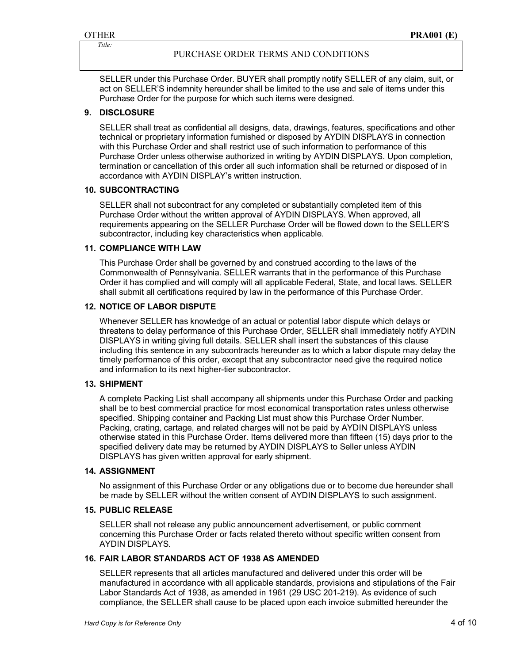SELLER under this Purchase Order. BUYER shall promptly notify SELLER of any claim, suit, or act on SELLER'S indemnity hereunder shall be limited to the use and sale of items under this Purchase Order for the purpose for which such items were designed.

## **9. DISCLOSURE**

SELLER shall treat as confidential all designs, data, drawings, features, specifications and other technical or proprietary information furnished or disposed by AYDIN DISPLAYS in connection with this Purchase Order and shall restrict use of such information to performance of this Purchase Order unless otherwise authorized in writing by AYDIN DISPLAYS. Upon completion, termination or cancellation of this order all such information shall be returned or disposed of in accordance with AYDIN DISPLAY's written instruction.

## **10. SUBCONTRACTING**

SELLER shall not subcontract for any completed or substantially completed item of this Purchase Order without the written approval of AYDIN DISPLAYS. When approved, all requirements appearing on the SELLER Purchase Order will be flowed down to the SELLER'S subcontractor, including key characteristics when applicable.

## **11. COMPLIANCE WITH LAW**

This Purchase Order shall be governed by and construed according to the laws of the Commonwealth of Pennsylvania. SELLER warrants that in the performance of this Purchase Order it has complied and will comply will all applicable Federal, State, and local laws. SELLER shall submit all certifications required by law in the performance of this Purchase Order.

## **12. NOTICE OF LABOR DISPUTE**

Whenever SELLER has knowledge of an actual or potential labor dispute which delays or threatens to delay performance of this Purchase Order, SELLER shall immediately notify AYDIN DISPLAYS in writing giving full details. SELLER shall insert the substances of this clause including this sentence in any subcontracts hereunder as to which a labor dispute may delay the timely performance of this order, except that any subcontractor need give the required notice and information to its next higher-tier subcontractor.

## **13. SHIPMENT**

A complete Packing List shall accompany all shipments under this Purchase Order and packing shall be to best commercial practice for most economical transportation rates unless otherwise specified. Shipping container and Packing List must show this Purchase Order Number. Packing, crating, cartage, and related charges will not be paid by AYDIN DISPLAYS unless otherwise stated in this Purchase Order. Items delivered more than fifteen (15) days prior to the specified delivery date may be returned by AYDIN DISPLAYS to Seller unless AYDIN DISPLAYS has given written approval for early shipment.

## **14. ASSIGNMENT**

No assignment of this Purchase Order or any obligations due or to become due hereunder shall be made by SELLER without the written consent of AYDIN DISPLAYS to such assignment.

## **15. PUBLIC RELEASE**

SELLER shall not release any public announcement advertisement, or public comment concerning this Purchase Order or facts related thereto without specific written consent from AYDIN DISPLAYS.

## **16. FAIR LABOR STANDARDS ACT OF 1938 AS AMENDED**

SELLER represents that all articles manufactured and delivered under this order will be manufactured in accordance with all applicable standards, provisions and stipulations of the Fair Labor Standards Act of 1938, as amended in 1961 (29 USC 201-219). As evidence of such compliance, the SELLER shall cause to be placed upon each invoice submitted hereunder the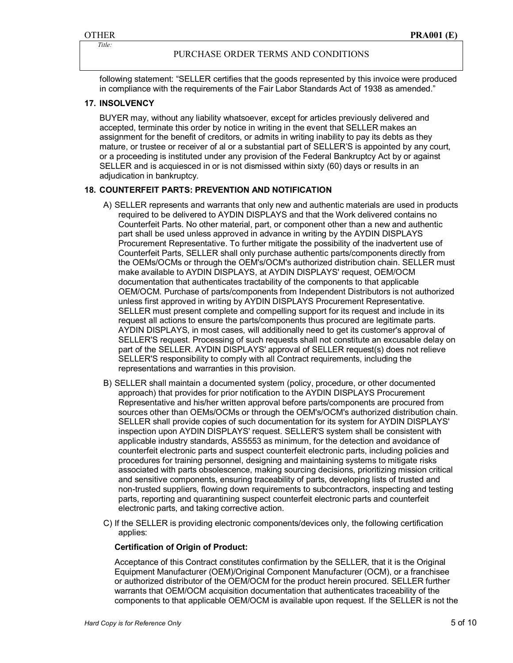following statement: "SELLER certifies that the goods represented by this invoice were produced in compliance with the requirements of the Fair Labor Standards Act of 1938 as amended."

## **17. INSOLVENCY**

BUYER may, without any liability whatsoever, except for articles previously delivered and accepted, terminate this order by notice in writing in the event that SELLER makes an assignment for the benefit of creditors, or admits in writing inability to pay its debts as they mature, or trustee or receiver of al or a substantial part of SELLER'S is appointed by any court, or a proceeding is instituted under any provision of the Federal Bankruptcy Act by or against SELLER and is acquiesced in or is not dismissed within sixty (60) days or results in an adjudication in bankruptcy.

## **18. COUNTERFEIT PARTS: PREVENTION AND NOTIFICATION**

- A) SELLER represents and warrants that only new and authentic materials are used in products required to be delivered to AYDIN DISPLAYS and that the Work delivered contains no Counterfeit Parts. No other material, part, or component other than a new and authentic part shall be used unless approved in advance in writing by the AYDIN DISPLAYS Procurement Representative. To further mitigate the possibility of the inadvertent use of Counterfeit Parts, SELLER shall only purchase authentic parts/components directly from the OEMs/OCMs or through the OEM's/OCM's authorized distribution chain. SELLER must make available to AYDIN DISPLAYS, at AYDIN DISPLAYS' request, OEM/OCM documentation that authenticates tractability of the components to that applicable OEM/OCM. Purchase of parts/components from Independent Distributors is not authorized unless first approved in writing by AYDIN DISPLAYS Procurement Representative. SELLER must present complete and compelling support for its request and include in its request all actions to ensure the parts/components thus procured are legitimate parts. AYDIN DISPLAYS, in most cases, will additionally need to get its customer's approval of SELLER'S request. Processing of such requests shall not constitute an excusable delay on part of the SELLER. AYDIN DISPLAYS' approval of SELLER request(s) does not relieve SELLER'S responsibility to comply with all Contract requirements, including the representations and warranties in this provision.
- B) SELLER shall maintain a documented system (policy, procedure, or other documented approach) that provides for prior notification to the AYDIN DISPLAYS Procurement Representative and his/her written approval before parts/components are procured from sources other than OEMs/OCMs or through the OEM's/OCM's authorized distribution chain. SELLER shall provide copies of such documentation for its system for AYDIN DISPLAYS' inspection upon AYDIN DISPLAYS' request. SELLER'S system shall be consistent with applicable industry standards, AS5553 as minimum, for the detection and avoidance of counterfeit electronic parts and suspect counterfeit electronic parts, including policies and procedures for training personnel, designing and maintaining systems to mitigate risks associated with parts obsolescence, making sourcing decisions, prioritizing mission critical and sensitive components, ensuring traceability of parts, developing lists of trusted and non-trusted suppliers, flowing down requirements to subcontractors, inspecting and testing parts, reporting and quarantining suspect counterfeit electronic parts and counterfeit electronic parts, and taking corrective action.
- C) If the SELLER is providing electronic components/devices only, the following certification applies:

#### **Certification of Origin of Product:**

Acceptance of this Contract constitutes confirmation by the SELLER, that it is the Original Equipment Manufacturer (OEM)/Original Component Manufacturer (OCM), or a franchisee or authorized distributor of the OEM/OCM for the product herein procured. SELLER further warrants that OEM/OCM acquisition documentation that authenticates traceability of the components to that applicable OEM/OCM is available upon request. If the SELLER is not the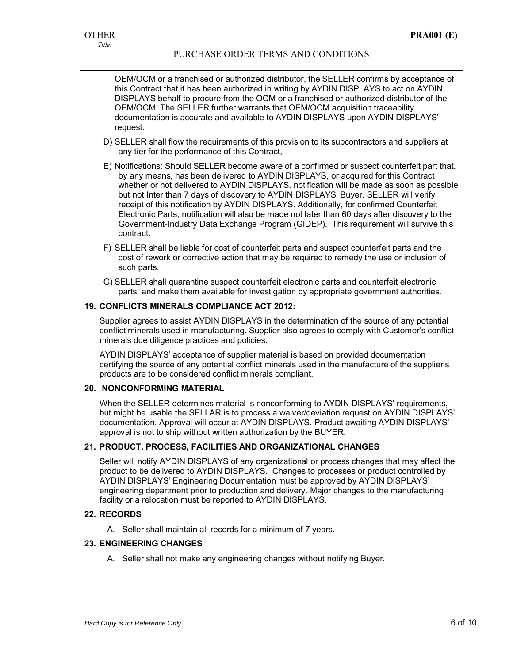OEM/OCM or a franchised or authorized distributor, the SELLER confirms by acceptance of this Contract that it has been authorized in writing by AYDIN DISPLAYS to act on AYDIN DISPLAYS behalf to procure from the OCM or a franchised or authorized distributor of the OEM/OCM. The SELLER further warrants that OEM/OCM acquisition traceability documentation is accurate and available to AYDIN DISPLAYS upon AYDIN DISPLAYS' request.

- D) SELLER shall flow the requirements of this provision to its subcontractors and suppliers at any tier for the performance of this Contract,
- E) Notifications: Should SELLER become aware of a confirmed or suspect counterfeit part that, by any means, has been delivered to AYDIN DISPLAYS, or acquired for this Contract whether or not delivered to AYDIN DISPLAYS, notification will be made as soon as possible but not Inter than 7 days of discovery to AYDIN DISPLAYS' Buyer. SELLER will verify receipt of this notification by AYDIN DISPLAYS. Additionally, for confirmed Counterfeit Electronic Parts, notification will also be made not later than 60 days after discovery to the Government-Industry Data Exchange Program (GIDEP). This requirement will survive this contract.
- F) SELLER shall be liable for cost of counterfeit parts and suspect counterfeit parts and the cost of rework or corrective action that may be required to remedy the use or inclusion of such parts.
- G) SELLER shall quarantine suspect counterfeit electronic parts and counterfeit electronic parts, and make them available for investigation by appropriate government authorities.

#### **19. CONFLICTS MINERALS COMPLIANCE ACT 2012:**

Supplier agrees to assist AYDIN DISPLAYS in the determination of the source of any potential conflict minerals used in manufacturing. Supplier also agrees to comply with Customer's conflict minerals due diligence practices and policies.

AYDIN DISPLAYS' acceptance of supplier material is based on provided documentation certifying the source of any potential conflict minerals used in the manufacture of the supplier's products are to be considered conflict minerals compliant.

#### **20. NONCONFORMING MATERIAL**

When the SELLER determines material is nonconforming to AYDIN DISPLAYS' requirements, but might be usable the SELLAR is to process a waiver/deviation request on AYDIN DISPLAYS' documentation. Approval will occur at AYDIN DISPLAYS. Product awaiting AYDIN DISPLAYS' approval is not to ship without written authorization by the BUYER.

#### **21. PRODUCT, PROCESS, FACILITIES AND ORGANIZATIONAL CHANGES**

Seller will notify AYDIN DISPLAYS of any organizational or process changes that may affect the product to be delivered to AYDIN DISPLAYS. Changes to processes or product controlled by AYDIN DISPLAYS' Engineering Documentation must be approved by AYDIN DISPLAYS' engineering department prior to production and delivery. Major changes to the manufacturing facility or a relocation must be reported to AYDIN DISPLAYS.

#### **22. RECORDS**

A. Seller shall maintain all records for a minimum of 7 years.

#### **23. ENGINEERING CHANGES**

A. Seller shall not make any engineering changes without notifying Buyer.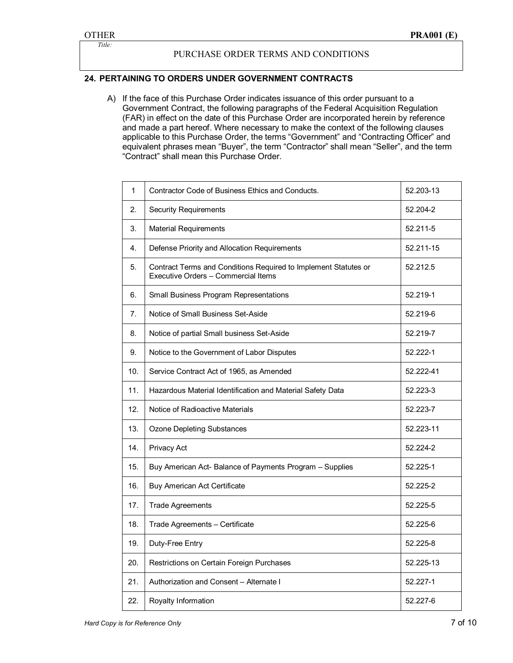## PURCHASE ORDER TERMS AND CONDITIONS

## **24. PERTAINING TO ORDERS UNDER GOVERNMENT CONTRACTS**

A) If the face of this Purchase Order indicates issuance of this order pursuant to a Government Contract, the following paragraphs of the Federal Acquisition Regulation (FAR) in effect on the date of this Purchase Order are incorporated herein by reference and made a part hereof. Where necessary to make the context of the following clauses applicable to this Purchase Order, the terms "Government" and "Contracting Officer" and equivalent phrases mean "Buyer", the term "Contractor" shall mean "Seller", and the term "Contract" shall mean this Purchase Order.

| 1   | Contractor Code of Business Ethics and Conducts.                                                       | 52.203-13 |
|-----|--------------------------------------------------------------------------------------------------------|-----------|
| 2.  | <b>Security Requirements</b>                                                                           | 52.204-2  |
| 3.  | <b>Material Requirements</b>                                                                           | 52.211-5  |
| 4.  | Defense Priority and Allocation Requirements                                                           | 52.211-15 |
| 5.  | Contract Terms and Conditions Required to Implement Statutes or<br>Executive Orders - Commercial Items | 52.212.5  |
| 6.  | Small Business Program Representations                                                                 | 52.219-1  |
| 7.  | Notice of Small Business Set-Aside                                                                     | 52.219-6  |
| 8.  | Notice of partial Small business Set-Aside                                                             | 52.219-7  |
| 9.  | Notice to the Government of Labor Disputes                                                             | 52.222-1  |
| 10. | Service Contract Act of 1965, as Amended                                                               | 52.222-41 |
| 11. | Hazardous Material Identification and Material Safety Data                                             | 52.223-3  |
| 12. | Notice of Radioactive Materials                                                                        | 52.223-7  |
| 13. | <b>Ozone Depleting Substances</b>                                                                      | 52.223-11 |
| 14. | Privacy Act                                                                                            | 52.224-2  |
| 15. | Buy American Act- Balance of Payments Program - Supplies                                               | 52.225-1  |
| 16. | <b>Buy American Act Certificate</b>                                                                    | 52.225-2  |
| 17. | <b>Trade Agreements</b>                                                                                | 52.225-5  |
| 18. | Trade Agreements - Certificate                                                                         | 52.225-6  |
| 19. | Duty-Free Entry                                                                                        | 52.225-8  |
| 20. | Restrictions on Certain Foreign Purchases                                                              | 52.225-13 |
| 21. | Authorization and Consent - Alternate I                                                                | 52.227-1  |
| 22. | Royalty Information                                                                                    | 52.227-6  |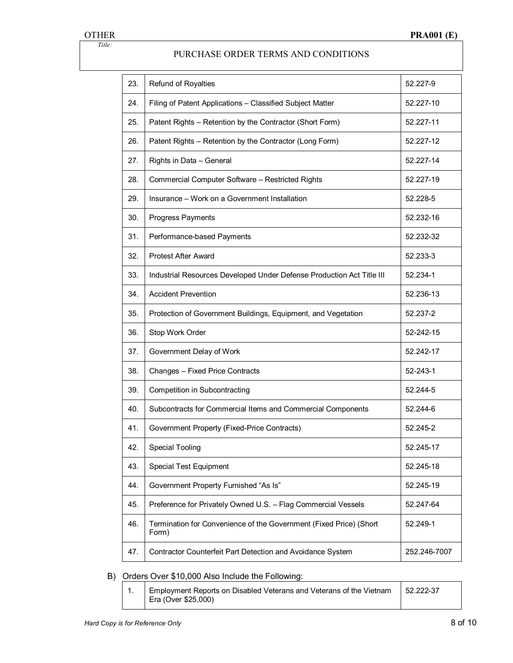| 23. | Refund of Royalties                                                         | 52.227-9     |
|-----|-----------------------------------------------------------------------------|--------------|
| 24. | Filing of Patent Applications - Classified Subject Matter                   | 52.227-10    |
| 25. | Patent Rights - Retention by the Contractor (Short Form)                    | 52.227-11    |
| 26. | Patent Rights - Retention by the Contractor (Long Form)                     | 52.227-12    |
| 27. | Rights in Data - General                                                    | 52.227-14    |
| 28. | Commercial Computer Software - Restricted Rights                            | 52.227-19    |
| 29. | Insurance - Work on a Government Installation                               | 52.228-5     |
| 30. | <b>Progress Payments</b>                                                    | 52.232-16    |
| 31. | Performance-based Payments                                                  | 52.232-32    |
| 32. | <b>Protest After Award</b>                                                  | 52.233-3     |
| 33. | Industrial Resources Developed Under Defense Production Act Title III       | 52.234-1     |
| 34. | <b>Accident Prevention</b>                                                  | 52.236-13    |
| 35. | Protection of Government Buildings, Equipment, and Vegetation               | 52.237-2     |
| 36. | Stop Work Order                                                             | 52-242-15    |
| 37. | Government Delay of Work                                                    | 52.242-17    |
| 38. | Changes - Fixed Price Contracts                                             | 52-243-1     |
| 39. | Competition in Subcontracting                                               | 52.244-5     |
| 40. | Subcontracts for Commercial Items and Commercial Components                 | 52.244-6     |
| 41. | Government Property (Fixed-Price Contracts)                                 | 52.245-2     |
| 42. | <b>Special Tooling</b>                                                      | 52.245-17    |
| 43. | <b>Special Test Equipment</b>                                               | 52.245-18    |
| 44. | Government Property Furnished "As Is"                                       | 52.245-19    |
| 45. | Preference for Privately Owned U.S. - Flag Commercial Vessels               | 52.247-64    |
| 46. | Termination for Convenience of the Government (Fixed Price) (Short<br>Form) | 52.249-1     |
| 47. | Contractor Counterfeit Part Detection and Avoidance System                  | 252.246-7007 |

# B) Orders Over \$10,000 Also Include the Following:

| Employment Reports on Disabled Veterans and Veterans of the Vietnam   52.222-37 |  |
|---------------------------------------------------------------------------------|--|
| Era (Over \$25,000)                                                             |  |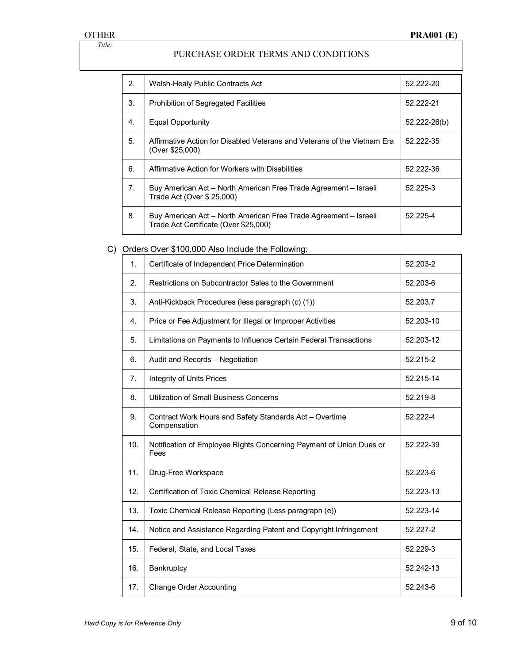| 2.             | Walsh-Healy Public Contracts Act                                                                          | 52.222-20        |
|----------------|-----------------------------------------------------------------------------------------------------------|------------------|
| 3.             | Prohibition of Segregated Facilities                                                                      | 52.222-21        |
| 4.             | Equal Opportunity                                                                                         | $52.222 - 26(b)$ |
| 5.             | Affirmative Action for Disabled Veterans and Veterans of the Vietnam Fra<br>(Over \$25,000)               | 52.222-35        |
| 6.             | Affirmative Action for Workers with Disabilities                                                          | 52.222-36        |
| 7 <sub>1</sub> | Buy American Act – North American Free Trade Agreement – Israeli<br>Trade Act (Over \$ 25,000)            | 52.225-3         |
| 8.             | Buy American Act - North American Free Trade Agreement - Israeli<br>Trade Act Certificate (Over \$25,000) | 52.225-4         |

# C) Orders Over \$100,000 Also Include the Following:

| $\mathbf{1}$ .        | Certificate of Independent Price Determination                              | 52.203-2  |
|-----------------------|-----------------------------------------------------------------------------|-----------|
| $\mathcal{P}_{\cdot}$ | Restrictions on Subcontractor Sales to the Government                       | 52.203-6  |
| 3.                    | Anti-Kickback Procedures (less paragraph (c) (1))                           | 52.203.7  |
| 4.                    | Price or Fee Adjustment for Illegal or Improper Activities                  | 52.203-10 |
| 5.                    | Limitations on Payments to Influence Certain Federal Transactions           | 52.203-12 |
| 6.                    | Audit and Records - Negotiation                                             | 52.215-2  |
| 7 <sub>1</sub>        | Integrity of Units Prices                                                   | 52.215-14 |
| 8.                    | Utilization of Small Business Concerns                                      | 52.219-8  |
| 9.                    | Contract Work Hours and Safety Standards Act - Overtime<br>Compensation     | 52.222-4  |
| 10.                   | Notification of Employee Rights Concerning Payment of Union Dues or<br>Fees | 52.222-39 |
| 11.                   | Drug-Free Workspace                                                         | 52.223-6  |
| 12.                   | Certification of Toxic Chemical Release Reporting                           | 52.223-13 |
| 13.                   | Toxic Chemical Release Reporting (Less paragraph (e))                       | 52.223-14 |
| 14.                   | Notice and Assistance Regarding Patent and Copyright Infringement           | 52.227-2  |
| 15.                   | Federal, State, and Local Taxes                                             | 52.229-3  |
| 16.                   | Bankruptcy                                                                  | 52.242-13 |
| 17.                   | <b>Change Order Accounting</b>                                              | 52.243-6  |